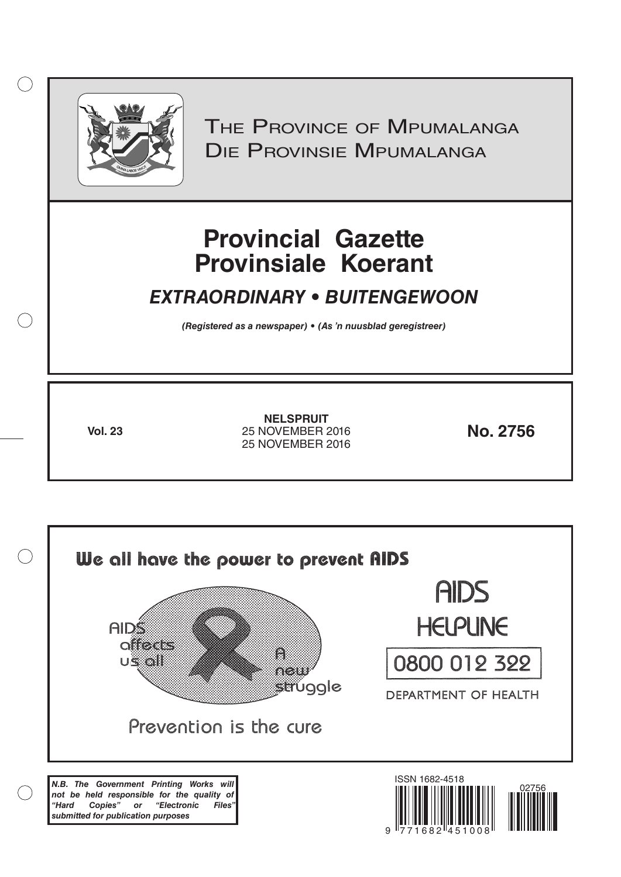

 $( )$ 

THE PROVINCE OF MPUMALANGA Die Provinsie Mpumalanga

# **Provincial Gazette Provinsiale Koerant**

# *EXTRAORDINARY • BUITENGEWOON*

*(Registered as a newspaper) • (As 'n nuusblad geregistreer)*

**Vol. 23 No. 2756** 25 NOVEMBER 2016 **NELSPRUIT** 25 NOVEMBER 2016

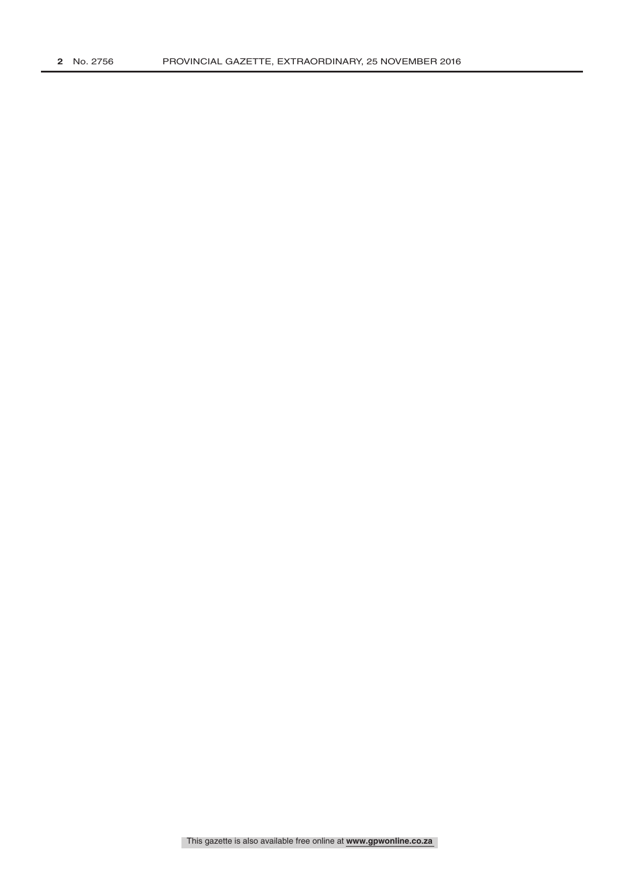This gazette is also available free online at **www.gpwonline.co.za**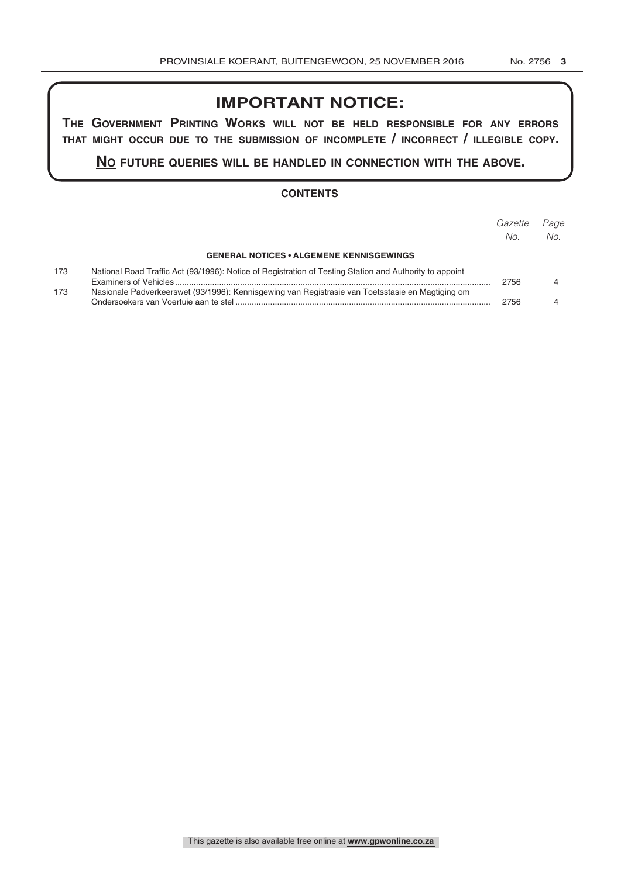**The GovernmenT PrinTinG Works Will noT be held resPonsible for any errors ThaT miGhT occur due To The submission of incomPleTe / incorrecT / illeGible coPy.**

**no fuTure queries Will be handled in connecTion WiTh The above.**

#### **CONTENTS**

|     |                                                                                                                                         | Gazette<br>No. | Paae<br>No |
|-----|-----------------------------------------------------------------------------------------------------------------------------------------|----------------|------------|
|     |                                                                                                                                         |                |            |
|     | <b>GENERAL NOTICES • ALGEMENE KENNISGEWINGS</b>                                                                                         |                |            |
| 173 | National Road Traffic Act (93/1996): Notice of Registration of Testing Station and Authority to appoint<br><b>Examiners of Vehicles</b> | 2756           |            |
| 173 | Nasionale Padverkeerswet (93/1996): Kennisgewing van Registrasie van Toetsstasie en Magtiging om                                        | 2756           |            |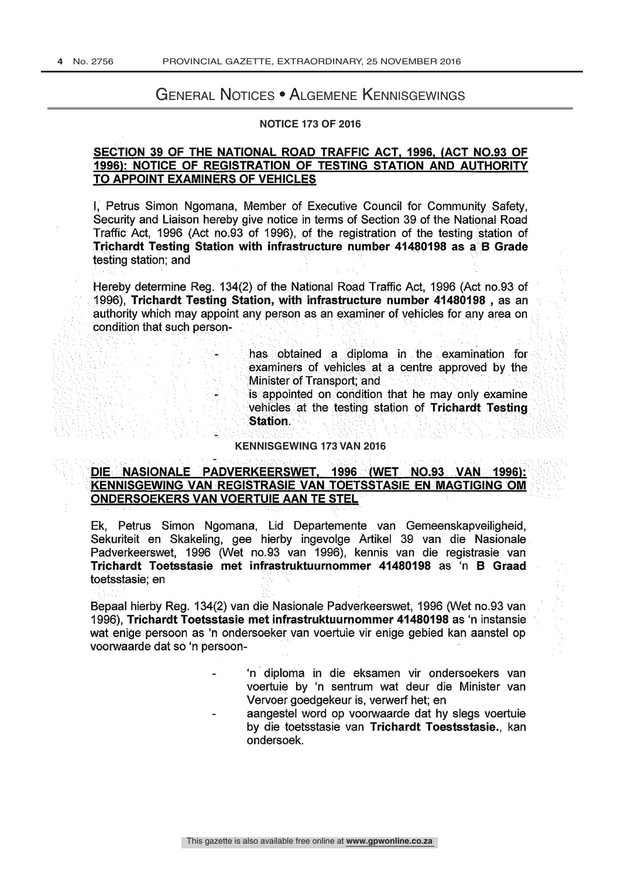### General Notices • Algemene Kennisgewings

#### **NOTICE 173 OF 2016**

#### SECTION 39 OF THE NATIONAL ROAD TRAFFIC ACT, 1996, (ACT NO.93 OF 1996): NOTICE OF REGISTRATION OF TESTING STATION AND AUTHORITY TO APPOINT EXAMINERS OF VEHICLES

I, Petrus Simon Ngomana, Member of Executive Council for Community Safety, Security and Liaison hereby give notice in terms of Section 39 of the National Road Traffic Act, 1996 (Act no.93 of 1996), of the registration of the testing station of Trichardt Testing Station with infrastructure number 41480198 as a B Grade testing station; and

Hereby determine Reg. 134(2) of the National Road Traffic Act, 1996 (Act no.93 of 1996), Trichardt Testing Station, with infrastructure number 41480198 , as an authority which may appoint any person as an examiner of vehicles for any area on condition that such person-

> has obtained a diploma in the examination for examiners of vehicles at a centre approved by the Minister of Transport; and

> is appointed on condition that he may only examine vehicles at the testing station of Trichardt Testing Station.

#### **KENNISGEWING 173 VAN 2016**

## KAN NIS TOETS VAN REGISTRASIE VAN TOETSSTASIE EN MAGTIGING OM DE GEBISTEL <u>DIE NASIONALE PADVERKEERSWET, 1996 (WET N</u> ONDERSOEKERS VAN VOERTUIE AAN TE STEL

Sekuriteit en Skakeling, gee hierby ingevolge Artikel 39 van die Nasionale Artikel 39 van die Nasionale Nasion<br>Die Nasionale Artikel 39 van die Nasionale Artikel 39 van die Nasionale Artikel 39 van die Nasionale Nasionale Ek, Petrus Simon Ngomana, Lid Departemente van Gemeenskapveiligheid, Sekuriteit en Skakeling, gee hierby ingevolge Artikel 39 van die Nasionale Padverkeerswet, 1996 (Wet no.93 van 1996), kennis van die registrasie van Trichardt Toetsstasie met infrastruktuurnommer 41480198 as 'n B Graad betsstasie; en wet no.93 van die Nasionale Padverkeerswet, 1996 (Wet no.93 van die Nasionale Padverkeerswet, 1

1996), Trichardt Toetsstasie met infrastruktuurnommer 41480198 as `n instansie Bepaal hierby Reg. 134(2) van die Nasionale Padverkeerswet, 1996 (Wet no.93 van 1996), Trichardt Toetsstasie met infrastruktuurnommer 41480198 as 'n instansie wat enige persoon as 'n ondersoeker van voertuie vir enige gebied kan aanstel op voorwaarde dat so 'n persoon-`n diploma in die eksamen vir ondersoekers van

- voertuie by `n sentrum wat deur die Minister van 'n diploma in die eksamen vir ondersoekers voertuie by 'n sentrum wat deur die Minister van Vervoer goedgekeur is, verwerf het; en
- aangestel word op voorwaarde dat hy slegs voertuie<br>by die toetsstasie van Trichardt Toestsstasie., kan ondersoek.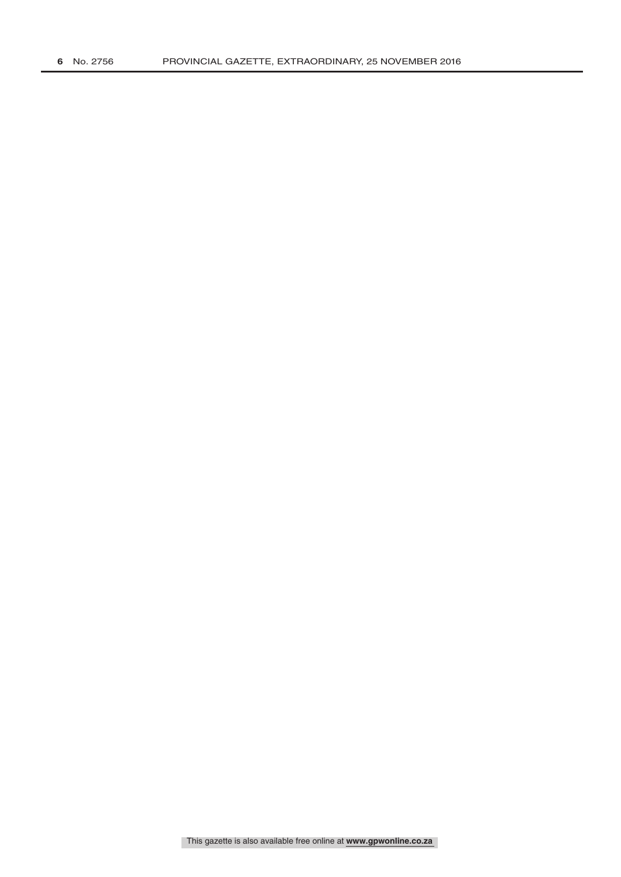This gazette is also available free online at **www.gpwonline.co.za**